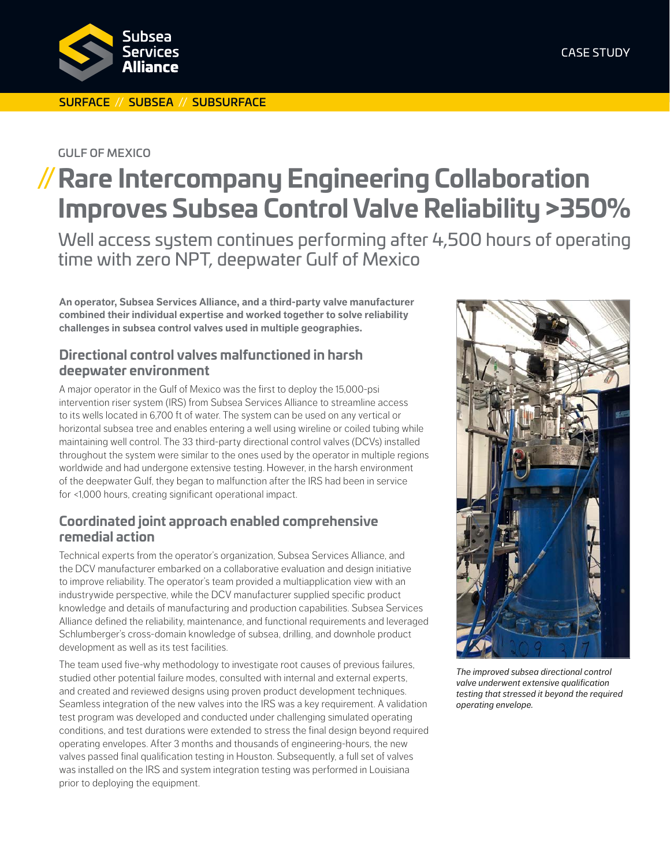

#### SURFACE // SUBSEA // SUBSURFACE

#### GULF OF MEXICO

# **//Rare Intercompany Engineering Collaboration Improves Subsea Control Valve Reliability >350%**

Well access system continues performing after 4,500 hours of operating time with zero NPT, deepwater Gulf of Mexico

**An operator, Subsea Services Alliance, and a third-party valve manufacturer combined their individual expertise and worked together to solve reliability challenges in subsea control valves used in multiple geographies.**

# **Directional control valves malfunctioned in harsh deepwater environment**

A major operator in the Gulf of Mexico was the first to deploy the 15,000-psi intervention riser system (IRS) from Subsea Services Alliance to streamline access to its wells located in 6,700 ft of water. The system can be used on any vertical or horizontal subsea tree and enables entering a well using wireline or coiled tubing while maintaining well control. The 33 third-party directional control valves (DCVs) installed throughout the system were similar to the ones used by the operator in multiple regions worldwide and had undergone extensive testing. However, in the harsh environment of the deepwater Gulf, they began to malfunction after the IRS had been in service for <1,000 hours, creating significant operational impact.

### **Coordinated joint approach enabled comprehensive remedial action**

Technical experts from the operator's organization, Subsea Services Alliance, and the DCV manufacturer embarked on a collaborative evaluation and design initiative to improve reliability. The operator's team provided a multiapplication view with an industrywide perspective, while the DCV manufacturer supplied specific product knowledge and details of manufacturing and production capabilities. Subsea Services Alliance defined the reliability, maintenance, and functional requirements and leveraged Schlumberger's cross-domain knowledge of subsea, drilling, and downhole product development as well as its test facilities.

The team used five-why methodology to investigate root causes of previous failures, studied other potential failure modes, consulted with internal and external experts, and created and reviewed designs using proven product development techniques. Seamless integration of the new valves into the IRS was a key requirement. A validation test program was developed and conducted under challenging simulated operating conditions, and test durations were extended to stress the final design beyond required operating envelopes. After 3 months and thousands of engineering-hours, the new valves passed final qualification testing in Houston. Subsequently, a full set of valves was installed on the IRS and system integration testing was performed in Louisiana prior to deploying the equipment.



*The improved subsea directional control valve underwent extensive qualification testing that stressed it beyond the required operating envelope.*